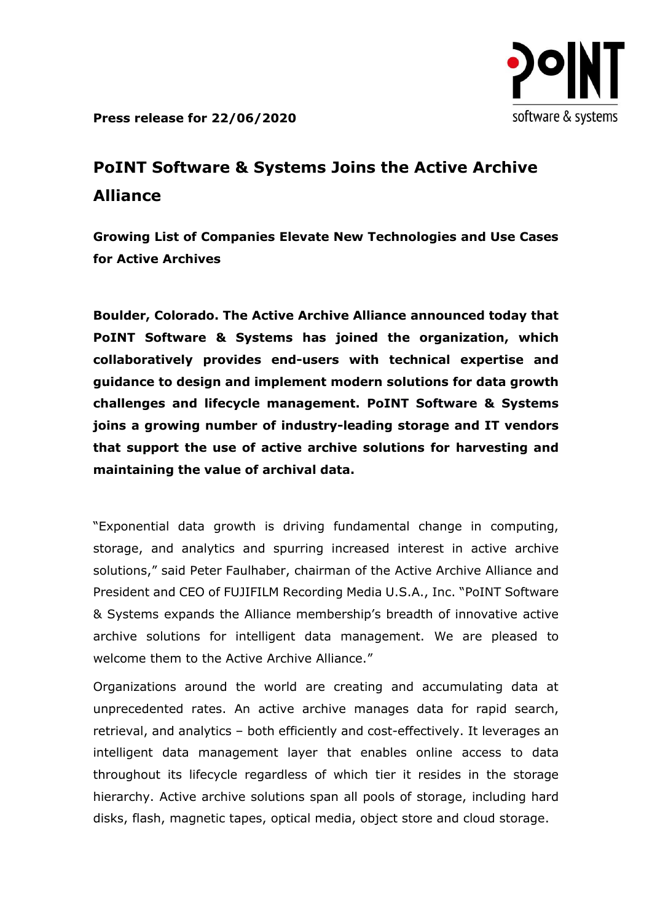

**Press release for 22/06/2020**

## **PoINT Software & Systems Joins the Active Archive Alliance**

**Growing List of Companies Elevate New Technologies and Use Cases for Active Archives**

**Boulder, Colorado. The Active Archive Alliance announced today that PoINT Software & Systems has joined the organization, which collaboratively provides end-users with technical expertise and guidance to design and implement modern solutions for data growth challenges and lifecycle management. PoINT Software & Systems joins a growing number of industry-leading storage and IT vendors that support the use of active archive solutions for harvesting and maintaining the value of archival data.**

"Exponential data growth is driving fundamental change in computing, storage, and analytics and spurring increased interest in active archive solutions," said Peter Faulhaber, chairman of the Active Archive Alliance and President and CEO of FUJIFILM Recording Media U.S.A., Inc. "PoINT Software & Systems expands the Alliance membership's breadth of innovative active archive solutions for intelligent data management. We are pleased to welcome them to the Active Archive Alliance."

Organizations around the world are creating and accumulating data at unprecedented rates. An active archive manages data for rapid search, retrieval, and analytics – both efficiently and cost-effectively. It leverages an intelligent data management layer that enables online access to data throughout its lifecycle regardless of which tier it resides in the storage hierarchy. Active archive solutions span all pools of storage, including hard disks, flash, magnetic tapes, optical media, object store and cloud storage.